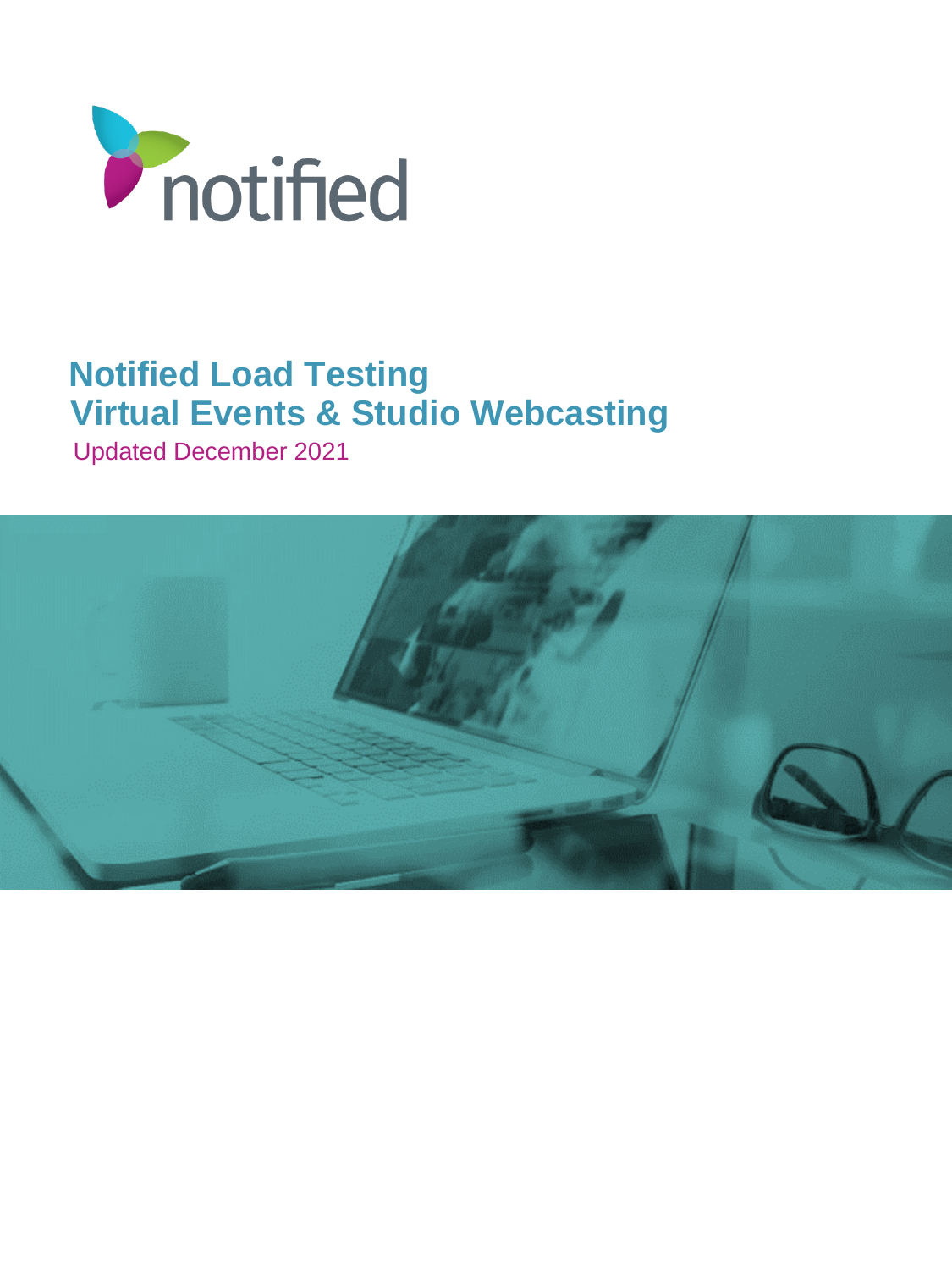

# **Notified Load Testing Virtual Events & Studio Webcasting**

Updated December 2021

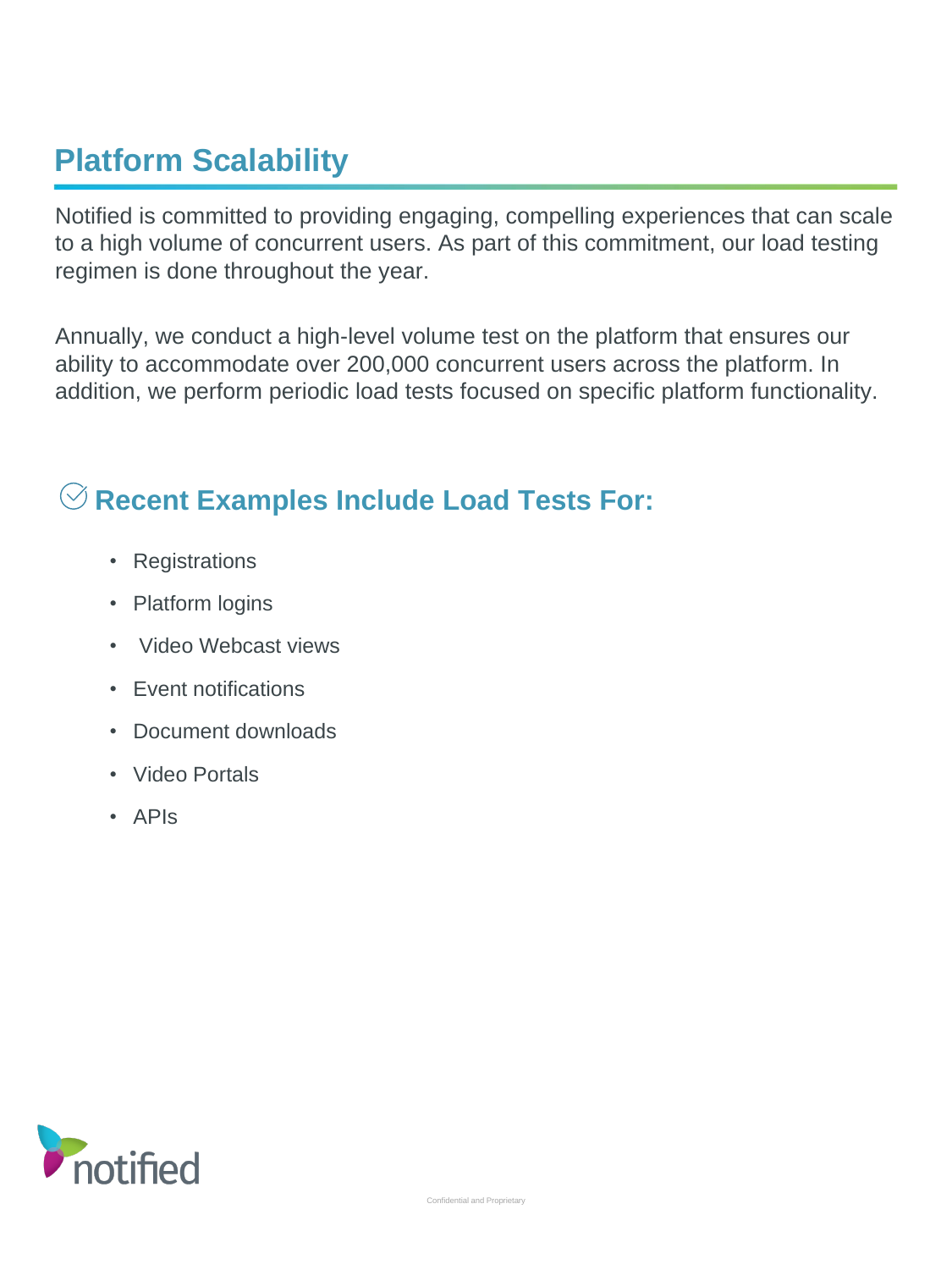# **Platform Scalability**

Notified is committed to providing engaging, compelling experiences that can scale to a high volume of concurrent users. As part of this commitment, our load testing regimen is done throughout the year.

Annually, we conduct a high-level volume test on the platform that ensures our ability to accommodate over 200,000 concurrent users across the platform. In addition, we perform periodic load tests focused on specific platform functionality.

#### **Recent Examples Include Load Tests For:**

- Registrations
- Platform logins
- Video Webcast views
- Event notifications
- Document downloads
- Video Portals
- APIs

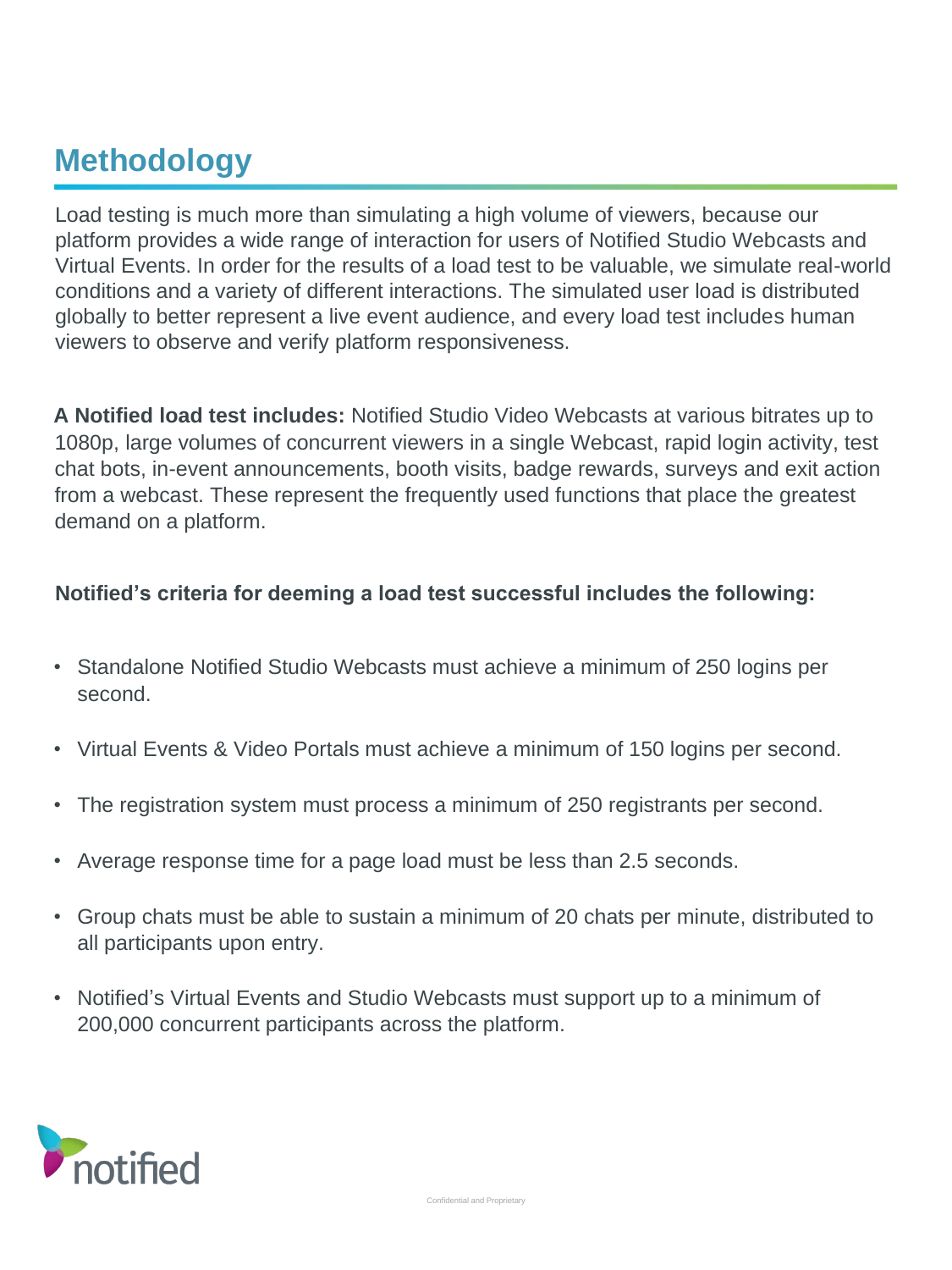### **Methodology**

Load testing is much more than simulating a high volume of viewers, because our platform provides a wide range of interaction for users of Notified Studio Webcasts and Virtual Events. In order for the results of a load test to be valuable, we simulate real-world conditions and a variety of different interactions. The simulated user load is distributed globally to better represent a live event audience, and every load test includes human viewers to observe and verify platform responsiveness.

**A Notified load test includes:** Notified Studio Video Webcasts at various bitrates up to 1080p, large volumes of concurrent viewers in a single Webcast, rapid login activity, test chat bots, in-event announcements, booth visits, badge rewards, surveys and exit action from a webcast. These represent the frequently used functions that place the greatest demand on a platform.

#### **Notified's criteria for deeming a load test successful includes the following:**

- Standalone Notified Studio Webcasts must achieve a minimum of 250 logins per second.
- Virtual Events & Video Portals must achieve a minimum of 150 logins per second.
- The registration system must process a minimum of 250 registrants per second.
- Average response time for a page load must be less than 2.5 seconds.
- Group chats must be able to sustain a minimum of 20 chats per minute, distributed to all participants upon entry.
- Notified's Virtual Events and Studio Webcasts must support up to a minimum of 200,000 concurrent participants across the platform.

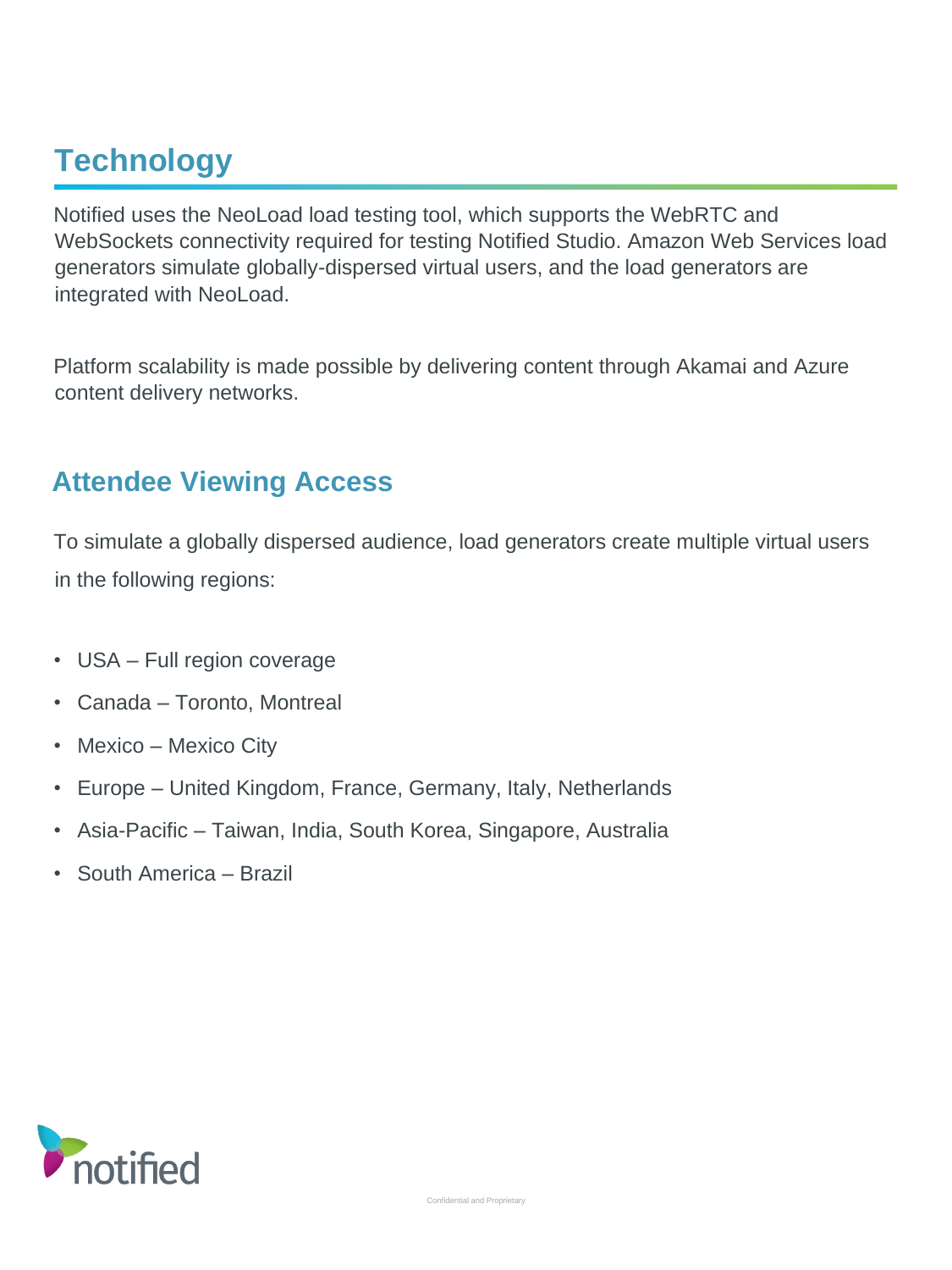# **Technology**

Notified uses the NeoLoad load testing tool, which supports the WebRTC and WebSockets connectivity required for testing Notified Studio. Amazon Web Services load generators simulate globally-dispersed virtual users, and the load generators are integrated with NeoLoad.

Platform scalability is made possible by delivering content through Akamai and Azure content delivery networks.

#### **Attendee Viewing Access**

To simulate a globally dispersed audience, load generators create multiple virtual users in the following regions:

- USA Full region coverage
- Canada Toronto, Montreal
- Mexico Mexico City
- Europe United Kingdom, France, Germany, Italy, Netherlands
- Asia-Pacific Taiwan, India, South Korea, Singapore, Australia
- South America Brazil

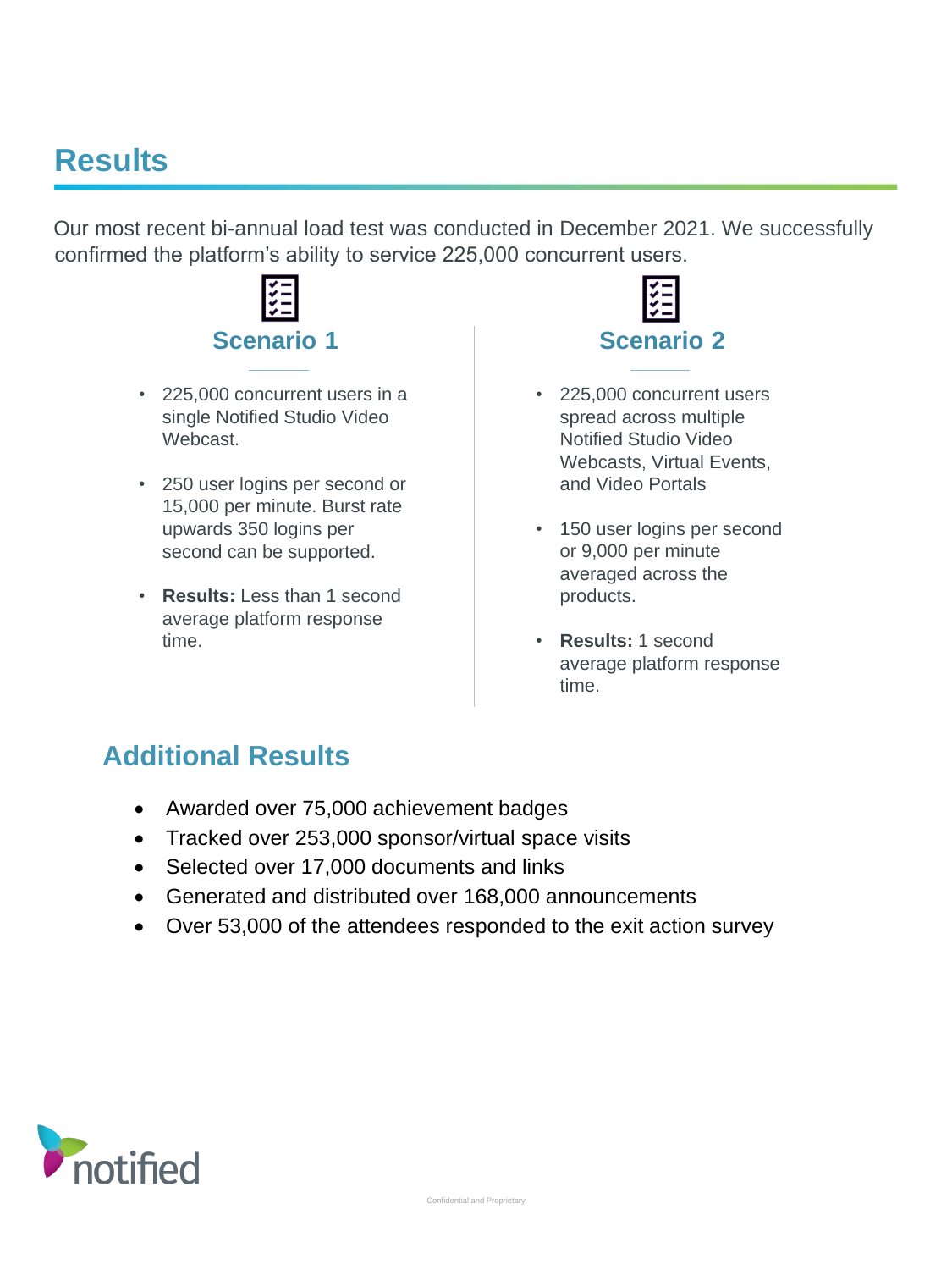### **Results**

Our most recent bi-annual load test was conducted in December 2021. We successfully confirmed the platform's ability to service 225,000 concurrent users.



- 225,000 concurrent users in a single Notified Studio Video Webcast.
- 250 user logins per second or 15,000 per minute. Burst rate upwards 350 logins per second can be supported.
- **Results:** Less than 1 second average platform response time.



- 225,000 concurrent users spread across multiple Notified Studio Video Webcasts, Virtual Events, and Video Portals
- 150 user logins per second or 9,000 per minute averaged across the products.
- **Results:** 1 second average platform response time.

#### **Additional Results**

- Awarded over 75,000 achievement badges
- Tracked over 253,000 sponsor/virtual space visits
- Selected over 17,000 documents and links
- Generated and distributed over 168,000 announcements
- Over 53,000 of the attendees responded to the exit action survey